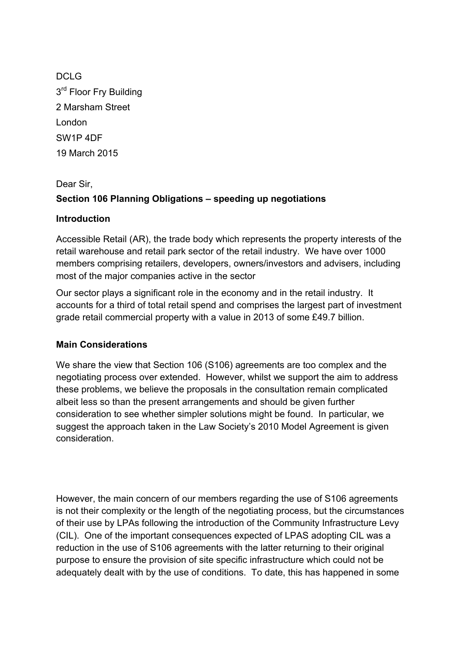DCLG 3<sup>rd</sup> Floor Fry Building 2 Marsham Street London SW1P 4DF 19 March 2015

# Dear Sir, **Section 106 Planning Obligations – speeding up negotiations**

#### **Introduction**

Accessible Retail (AR), the trade body which represents the property interests of the retail warehouse and retail park sector of the retail industry. We have over 1000 members comprising retailers, developers, owners/investors and advisers, including most of the major companies active in the sector

Our sector plays a significant role in the economy and in the retail industry. It accounts for a third of total retail spend and comprises the largest part of investment grade retail commercial property with a value in 2013 of some £49.7 billion.

#### **Main Considerations**

We share the view that Section 106 (S106) agreements are too complex and the negotiating process over extended. However, whilst we support the aim to address these problems, we believe the proposals in the consultation remain complicated albeit less so than the present arrangements and should be given further consideration to see whether simpler solutions might be found. In particular, we suggest the approach taken in the Law Society's 2010 Model Agreement is given consideration.

However, the main concern of our members regarding the use of S106 agreements is not their complexity or the length of the negotiating process, but the circumstances of their use by LPAs following the introduction of the Community Infrastructure Levy (CIL). One of the important consequences expected of LPAS adopting CIL was a reduction in the use of S106 agreements with the latter returning to their original purpose to ensure the provision of site specific infrastructure which could not be adequately dealt with by the use of conditions. To date, this has happened in some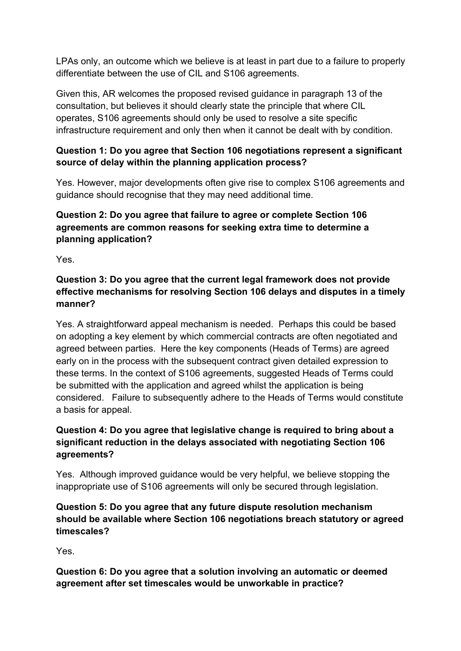LPAs only, an outcome which we believe is at least in part due to a failure to properly differentiate between the use of CIL and S106 agreements.

Given this, AR welcomes the proposed revised guidance in paragraph 13 of the consultation, but believes it should clearly state the principle that where CIL operates, S106 agreements should only be used to resolve a site specific infrastructure requirement and only then when it cannot be dealt with by condition.

#### **Question 1: Do you agree that Section 106 negotiations represent a significant source of delay within the planning application process?**

Yes. However, major developments often give rise to complex S106 agreements and guidance should recognise that they may need additional time.

# **Question 2: Do you agree that failure to agree or complete Section 106 agreements are common reasons for seeking extra time to determine a planning application?**

Yes.

# **Question 3: Do you agree that the current legal framework does not provide effective mechanisms for resolving Section 106 delays and disputes in a timely manner?**

Yes. A straightforward appeal mechanism is needed. Perhaps this could be based on adopting a key element by which commercial contracts are often negotiated and agreed between parties. Here the key components (Heads of Terms) are agreed early on in the process with the subsequent contract given detailed expression to these terms. In the context of S106 agreements, suggested Heads of Terms could be submitted with the application and agreed whilst the application is being considered. Failure to subsequently adhere to the Heads of Terms would constitute a basis for appeal.

# **Question 4: Do you agree that legislative change is required to bring about a significant reduction in the delays associated with negotiating Section 106 agreements?**

Yes. Although improved guidance would be very helpful, we believe stopping the inappropriate use of S106 agreements will only be secured through legislation.

# **Question 5: Do you agree that any future dispute resolution mechanism should be available where Section 106 negotiations breach statutory or agreed timescales?**

Yes.

**Question 6: Do you agree that a solution involving an automatic or deemed agreement after set timescales would be unworkable in practice?**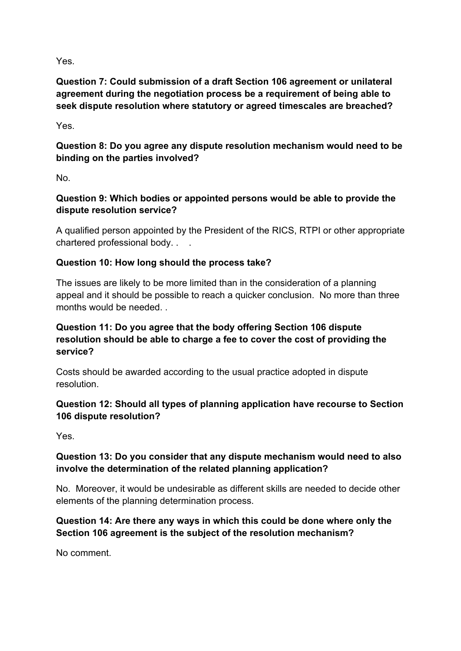Yes.

**Question 7: Could submission of a draft Section 106 agreement or unilateral agreement during the negotiation process be a requirement of being able to seek dispute resolution where statutory or agreed timescales are breached?**

Yes.

**Question 8: Do you agree any dispute resolution mechanism would need to be binding on the parties involved?**

No.

**Question 9: Which bodies or appointed persons would be able to provide the dispute resolution service?**

A qualified person appointed by the President of the RICS, RTPI or other appropriate chartered professional body. . .

# **Question 10: How long should the process take?**

The issues are likely to be more limited than in the consideration of a planning appeal and it should be possible to reach a quicker conclusion. No more than three months would be needed. .

### **Question 11: Do you agree that the body offering Section 106 dispute resolution should be able to charge a fee to cover the cost of providing the service?**

Costs should be awarded according to the usual practice adopted in dispute resolution.

#### **Question 12: Should all types of planning application have recourse to Section 106 dispute resolution?**

Yes.

# **Question 13: Do you consider that any dispute mechanism would need to also involve the determination of the related planning application?**

No. Moreover, it would be undesirable as different skills are needed to decide other elements of the planning determination process.

# **Question 14: Are there any ways in which this could be done where only the Section 106 agreement is the subject of the resolution mechanism?**

No comment.